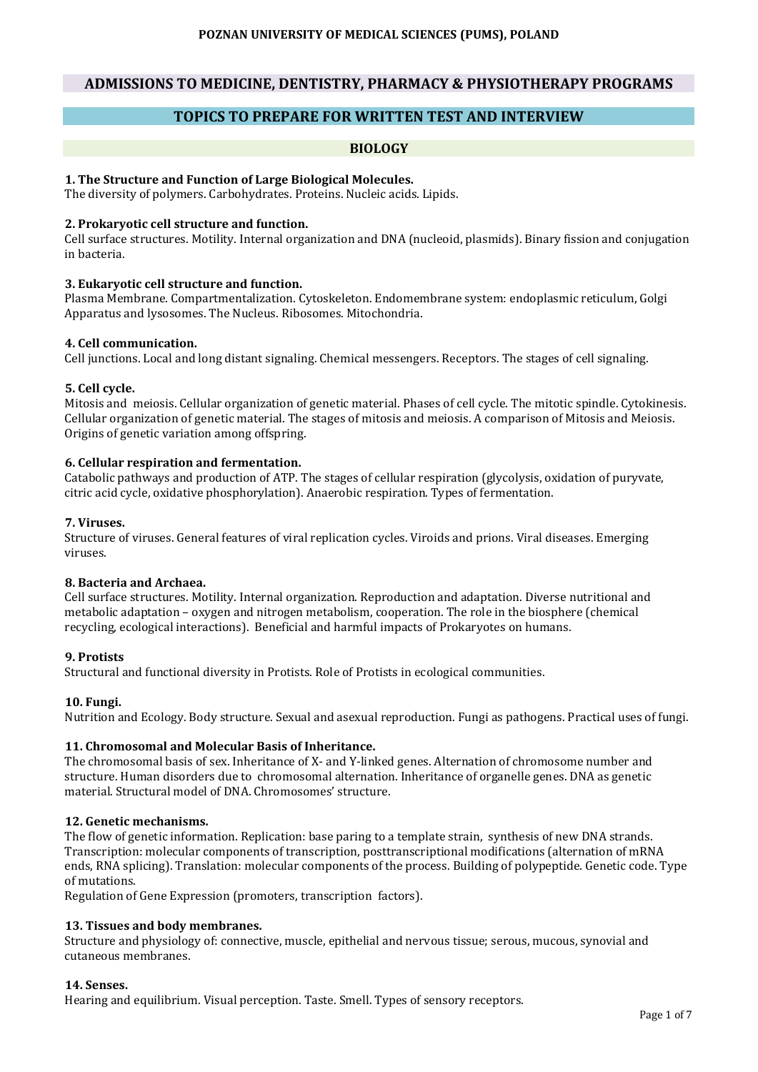# **ADMISSIONS TO MEDICINE, DENTISTRY, PHARMACY & PHYSIOTHERAPY PROGRAMS**

# **TOPICS TO PREPARE FOR WRITTEN TEST AND INTERVIEW**

## **BIOLOGY**

### **1. The Structure and Function of Large Biological Molecules.**

The diversity of polymers. Carbohydrates. Proteins. Nucleic acids. Lipids.

### **2. Prokaryotic cell structure and function.**

Cell surface structures. Motility. Internal organization and DNA (nucleoid, plasmids). Binary fission and conjugation in bacteria.

#### **3. Eukaryotic cell structure and function.**

Plasma Membrane. Compartmentalization. Cytoskeleton. Endomembrane system: endoplasmic reticulum, Golgi Apparatus and lysosomes. The Nucleus. Ribosomes. Mitochondria.

#### **4. Cell communication.**

Cell junctions. Local and long distant signaling. Chemical messengers. Receptors. The stages of cell signaling.

#### **5. Cell cycle.**

Mitosis and meiosis. Cellular organization of genetic material. Phases of cell cycle. The mitotic spindle. Cytokinesis. Cellular organization of genetic material. The stages of mitosis and meiosis. A comparison of Mitosis and Meiosis. Origins of genetic variation among offspring.

#### **6. Cellular respiration and fermentation.**

Catabolic pathways and production of ATP. The stages of cellular respiration (glycolysis, oxidation of puryvate, citric acid cycle, oxidative phosphorylation). Anaerobic respiration. Types of fermentation.

#### **7. Viruses.**

Structure of viruses. General features of viral replication cycles. Viroids and prions. Viral diseases. Emerging viruses.

#### **8. Bacteria and Archaea.**

Cell surface structures. Motility. Internal organization. Reproduction and adaptation. Diverse nutritional and metabolic adaptation – oxygen and nitrogen metabolism, cooperation. The role in the biosphere (chemical recycling, ecological interactions). Beneficial and harmful impacts of Prokaryotes on humans.

### **9. Protists**

Structural and functional diversity in Protists. Role of Protists in ecological communities.

#### **10. Fungi.**

Nutrition and Ecology. Body structure. Sexual and asexual reproduction. Fungi as pathogens. Practical uses of fungi.

### **11. Chromosomal and Molecular Basis of Inheritance.**

The chromosomal basis of sex. Inheritance of X- and Y-linked genes. Alternation of chromosome number and structure. Human disorders due to chromosomal alternation. Inheritance of organelle genes. DNA as genetic material. Structural model of DNA. Chromosomes' structure.

### **12. Genetic mechanisms.**

The flow of genetic information. Replication: base paring to a template strain, synthesis of new DNA strands. Transcription: molecular components of transcription, posttranscriptional modifications (alternation of mRNA ends, RNA splicing). Translation: molecular components of the process. Building of polypeptide. Genetic code. Type of mutations.

Regulation of Gene Expression (promoters, transcription factors).

## **13. Tissues and body membranes.**

Structure and physiology of: connective, muscle, epithelial and nervous tissue; serous, mucous, synovial and cutaneous membranes.

#### **14. Senses.**

Hearing and equilibrium. Visual perception. Taste. Smell. Types of sensory receptors.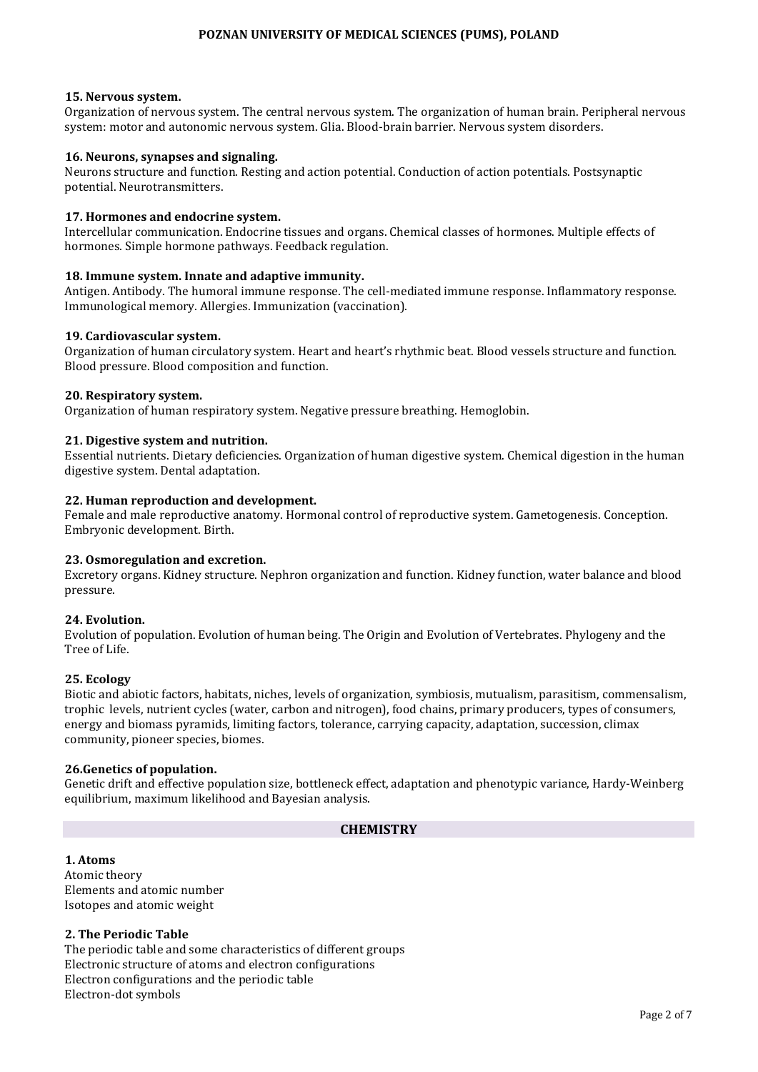### **15. Nervous system.**

Organization of nervous system. The central nervous system. The organization of human brain. Peripheral nervous system: motor and autonomic nervous system. Glia. Blood-brain barrier. Nervous system disorders.

#### **16. Neurons, synapses and signaling.**

Neurons structure and function. Resting and action potential. Conduction of action potentials. Postsynaptic potential. Neurotransmitters.

#### **17. Hormones and endocrine system.**

Intercellular communication. Endocrine tissues and organs. Chemical classes of hormones. Multiple effects of hormones. Simple hormone pathways. Feedback regulation.

#### **18. Immune system. Innate and adaptive immunity.**

Antigen. Antibody. The humoral immune response. The cell-mediated immune response. Inflammatory response. Immunological memory. Allergies. Immunization (vaccination).

#### **19. Cardiovascular system.**

Organization of human circulatory system. Heart and heart's rhythmic beat. Blood vessels structure and function. Blood pressure. Blood composition and function.

#### **20. Respiratory system.**

Organization of human respiratory system. Negative pressure breathing. Hemoglobin.

#### **21. Digestive system and nutrition.**

Essential nutrients. Dietary deficiencies. Organization of human digestive system. Chemical digestion in the human digestive system. Dental adaptation.

#### **22. Human reproduction and development.**

Female and male reproductive anatomy. Hormonal control of reproductive system. Gametogenesis. Conception. Embryonic development. Birth.

#### **23. Osmoregulation and excretion.**

Excretory organs. Kidney structure. Nephron organization and function. Kidney function, water balance and blood pressure.

#### **24. Evolution.**

Evolution of population. Evolution of human being. The Origin and Evolution of Vertebrates. Phylogeny and the Tree of Life.

#### **25. Ecology**

Biotic and abiotic factors, habitats, niches, levels of organization, symbiosis, mutualism, parasitism, commensalism, trophic levels, nutrient cycles (water, carbon and nitrogen), food chains, primary producers, types of consumers, energy and biomass pyramids, limiting factors, tolerance, carrying capacity, adaptation, succession, climax community, pioneer species, biomes.

#### **26.Genetics of population.**

Genetic drift and effective population size, bottleneck effect, adaptation and phenotypic variance, Hardy-Weinberg equilibrium, maximum likelihood and Bayesian analysis.

# **CHEMISTRY**

**1. Atoms**  Atomic theory Elements and atomic number Isotopes and atomic weight

#### **2. The Periodic Table**

The periodic table and some characteristics of different groups Electronic structure of atoms and electron configurations Electron configurations and the periodic table Electron-dot symbols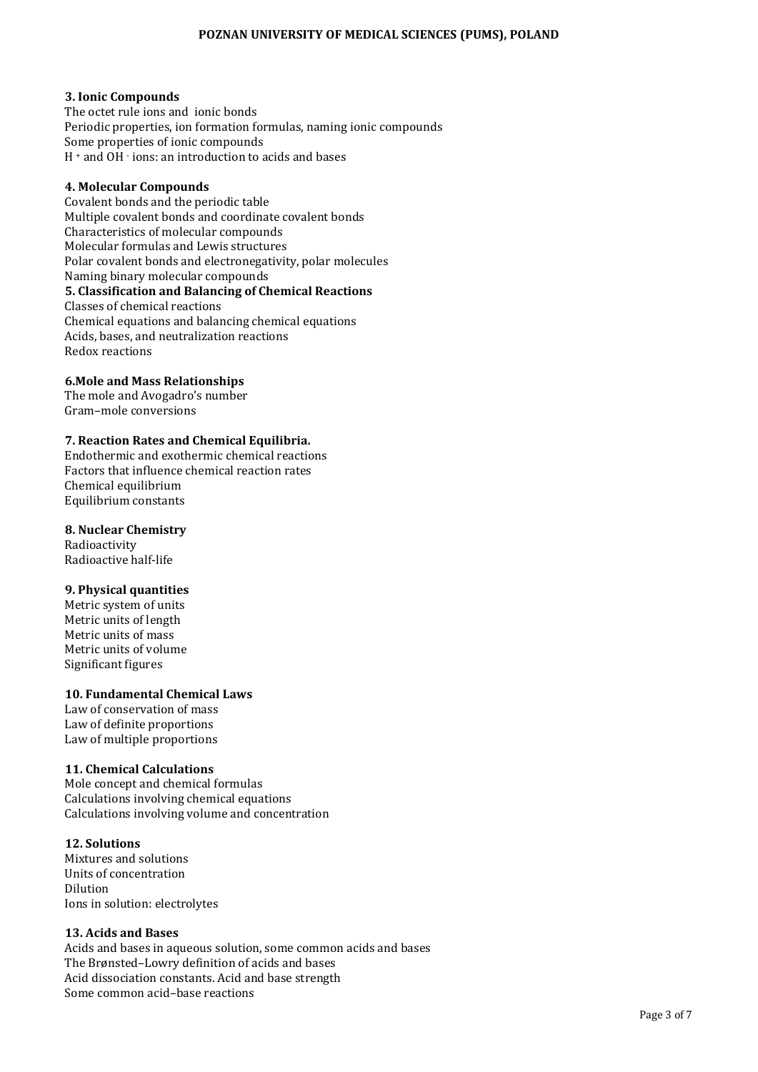## **3. Ionic Compounds**

The octet rule ions and ionic bonds Periodic properties, ion formation formulas, naming ionic compounds Some properties of ionic compounds H <sup>+</sup> and OH - ions: an introduction to acids and bases

## **4. Molecular Compounds**

Covalent bonds and the periodic table Multiple covalent bonds and coordinate covalent bonds Characteristics of molecular compounds Molecular formulas and Lewis structures Polar covalent bonds and electronegativity, polar molecules Naming binary molecular compounds **5. Classification and Balancing of Chemical Reactions** Classes of chemical reactions Chemical equations and balancing chemical equations Acids, bases, and neutralization reactions Redox reactions

## **6.Mole and Mass Relationships**

The mole and Avogadro's number Gram–mole conversions

### **7. Reaction Rates and Chemical Equilibria.**

Endothermic and exothermic chemical reactions Factors that influence chemical reaction rates Chemical equilibrium Equilibrium constants

### **8. Nuclear Chemistry**

Radioactivity Radioactive half-life

### **9. Physical quantities**

Metric system of units Metric units of length Metric units of mass Metric units of volume Significant figures

# **10. Fundamental Chemical Laws**

Law of conservation of mass Law of definite proportions Law of multiple proportions

### **11. Chemical Calculations**

Mole concept and chemical formulas Calculations involving chemical equations Calculations involving volume and concentration

### **12. Solutions**

Mixtures and solutions Units of concentration Dilution Ions in solution: electrolytes

### **13. Acids and Bases**

Acids and bases in aqueous solution, some common acids and bases The Brønsted–Lowry definition of acids and bases Acid dissociation constants. Acid and base strength Some common acid–base reactions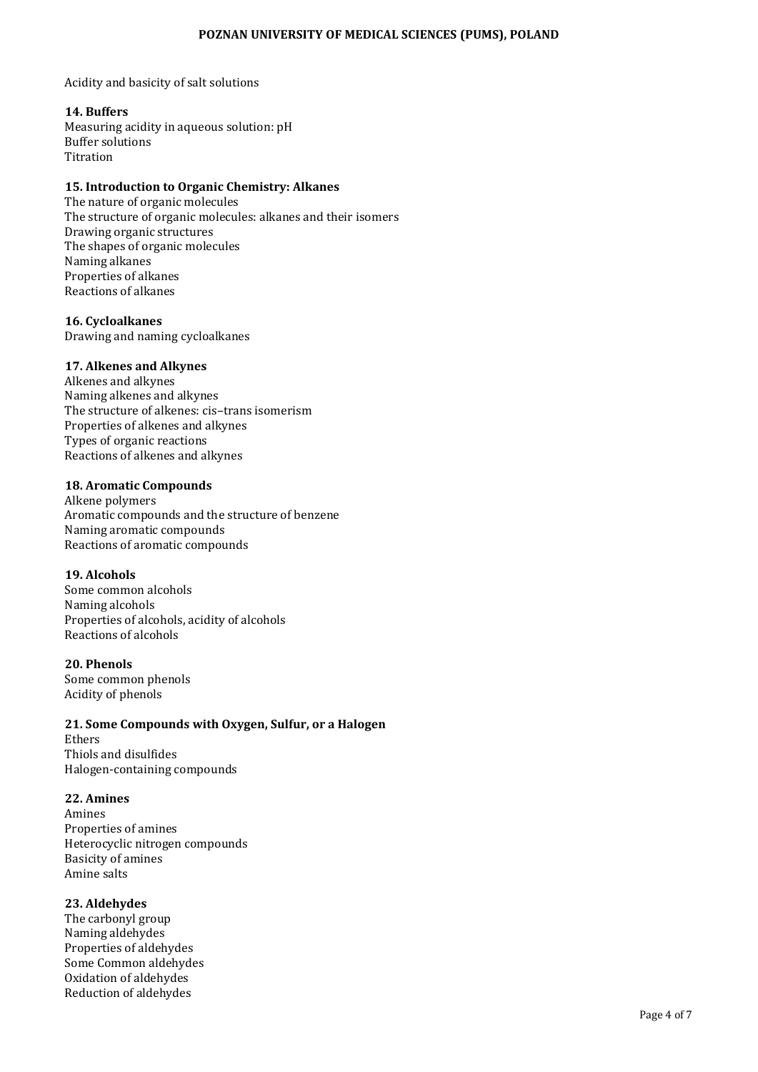Acidity and basicity of salt solutions

### **14. Buffers**

Measuring acidity in aqueous solution: pH Buffer solutions Titration

# **15. Introduction to Organic Chemistry: Alkanes**

The nature of organic molecules The structure of organic molecules: alkanes and their isomers Drawing organic structures The shapes of organic molecules Naming alkanes Properties of alkanes Reactions of alkanes

## **16. Cycloalkanes**

Drawing and naming cycloalkanes

## **17. Alkenes and Alkynes**

Alkenes and alkynes Naming alkenes and alkynes The structure of alkenes: cis–trans isomerism Properties of alkenes and alkynes Types of organic reactions Reactions of alkenes and alkynes

### **18. Aromatic Compounds**

Alkene polymers Aromatic compounds and the structure of benzene Naming aromatic compounds Reactions of aromatic compounds

### **19. Alcohols**

Some common alcohols Naming alcohols Properties of alcohols, acidity of alcohols Reactions of alcohols

### **20. Phenols**

Some common phenols Acidity of phenols

# **21. Some Compounds with Oxygen, Sulfur, or a Halogen**

Ethers Thiols and disulfides Halogen-containing compounds

### **22. Amines**

Amines Properties of amines Heterocyclic nitrogen compounds Basicity of amines Amine salts

# **23. Aldehydes**

The carbonyl group Naming aldehydes Properties of aldehydes Some Common aldehydes Oxidation of aldehydes Reduction of aldehydes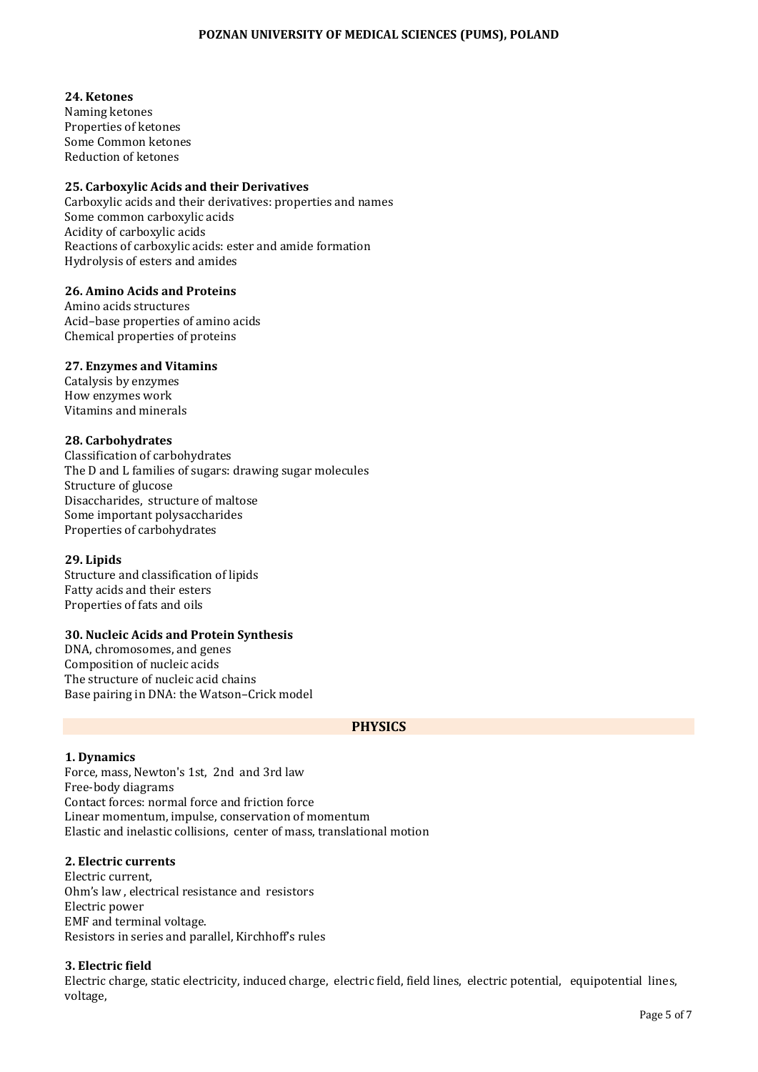# **24. Ketones**

Naming ketones Properties of ketones Some Common ketones Reduction of ketones

# **25. Carboxylic Acids and their Derivatives**

Carboxylic acids and their derivatives: properties and names Some common carboxylic acids Acidity of carboxylic acids Reactions of carboxylic acids: ester and amide formation Hydrolysis of esters and amides

# **26. Amino Acids and Proteins**

Amino acids structures Acid–base properties of amino acids Chemical properties of proteins

# **27. Enzymes and Vitamins**

Catalysis by enzymes How enzymes work Vitamins and minerals

## **28. Carbohydrates**

Classification of carbohydrates The D and L families of sugars: drawing sugar molecules Structure of glucose Disaccharides, structure of maltose Some important polysaccharides Properties of carbohydrates

# **29. Lipids**

Structure and classification of lipids Fatty acids and their esters Properties of fats and oils

# **30. Nucleic Acids and Protein Synthesis**

DNA, chromosomes, and genes Composition of nucleic acids The structure of nucleic acid chains Base pairing in DNA: the Watson–Crick model

# **PHYSICS**

### **1. Dynamics**

Force, mass, Newton's 1st, 2nd and 3rd law Free-body diagrams Contact forces: normal force and friction force Linear momentum, impulse, conservation of momentum Elastic and inelastic collisions, center of mass, translational motion

### **2. Electric currents**

Electric current, Ohm's law , electrical resistance and resistors Electric power EMF and terminal voltage. Resistors in series and parallel, Kirchhoff's rules

# **3. Electric field**

Electric charge, static electricity, induced charge, electric field, field lines, electric potential, equipotential lines, voltage,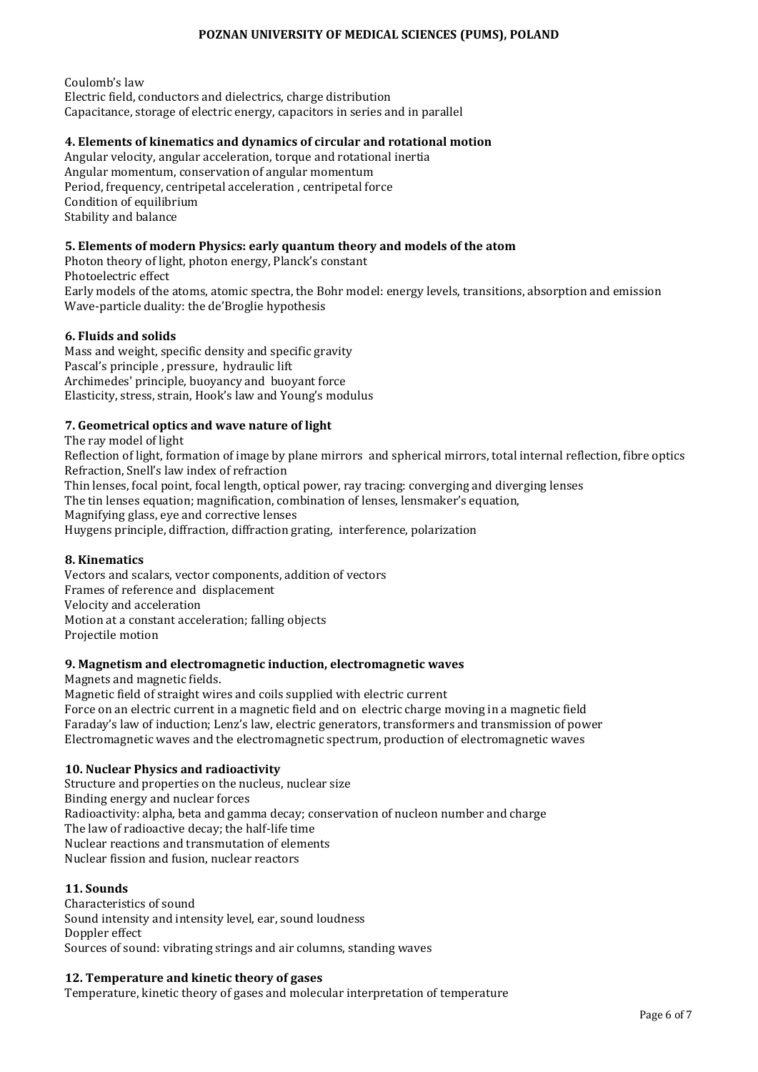Coulomb's law Electric field, conductors and dielectrics, charge distribution Capacitance, storage of electric energy, capacitors in series and in parallel

# **4. Elements of kinematics and dynamics of circular and rotational motion**

Angular velocity, angular acceleration, torque and rotational inertia Angular momentum, conservation of angular momentum Period, frequency, centripetal acceleration , centripetal force Condition of equilibrium Stability and balance

## **5. Elements of modern Physics: early quantum theory and models of the atom**

Photon theory of light, photon energy, Planck's constant Photoelectric effect Early models of the atoms, atomic spectra, the Bohr model: energy levels, transitions, absorption and emission Wave-particle duality: the de'Broglie hypothesis

## **6. Fluids and solids**

Mass and weight, specific density and specific gravity Pascal's principle , pressure, hydraulic lift Archimedes' principle, buoyancy and buoyant force Elasticity, stress, strain, Hook's law and Young's modulus

# **7. Geometrical optics and wave nature of light**

The ray model of light

Reflection of light, formation of image by plane mirrors and spherical mirrors, total internal reflection, fibre optics Refraction, Snell's law index of refraction Thin lenses, focal point, focal length, optical power, ray tracing: converging and diverging lenses The tin lenses equation; magnification, combination of lenses, lensmaker's equation, Magnifying glass, eye and corrective lenses Huygens principle, diffraction, diffraction grating, interference, polarization

### **8. Kinematics**

Vectors and scalars, vector components, addition of vectors Frames of reference and displacement Velocity and acceleration Motion at a constant acceleration; falling objects Projectile motion

### **9. Magnetism and electromagnetic induction, electromagnetic waves**

Magnets and magnetic fields.

Magnetic field of straight wires and coils supplied with electric current Force on an electric current in a magnetic field and on electric charge moving in a magnetic field Faraday's law of induction; Lenz's law, electric generators, transformers and transmission of power Electromagnetic waves and the electromagnetic spectrum, production of electromagnetic waves

# **10. Nuclear Physics and radioactivity**

Structure and properties on the nucleus, nuclear size Binding energy and nuclear forces Radioactivity: alpha, beta and gamma decay; conservation of nucleon number and charge The law of radioactive decay; the half-life time Nuclear reactions and transmutation of elements Nuclear fission and fusion, nuclear reactors

## **11. Sounds**

Characteristics of sound Sound intensity and intensity level, ear, sound loudness Doppler effect Sources of sound: vibrating strings and air columns, standing waves

# **12. Temperature and kinetic theory of gases**

Temperature, kinetic theory of gases and molecular interpretation of temperature